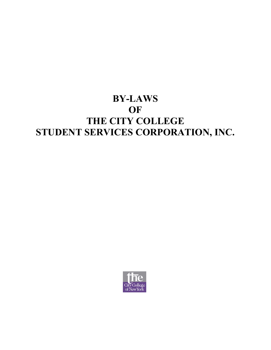# **BY-LAWS OF THE CITY COLLEGE STUDENT SERVICES CORPORATION, INC.**

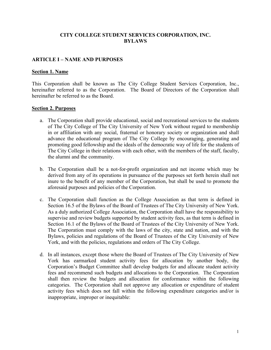## **CITY COLLEGE STUDENT SERVICES CORPORATION, INC. BYLAWS**

## **ARTICLE I – NAME AND PURPOSES**

#### **Section 1. Name**

This Corporation shall be known as The City College Student Services Corporation, Inc., hereinafter referred to as the Corporation. The Board of Directors of the Corporation shall hereinafter be referred to as the Board.

#### **Section 2. Purposes**

- a. The Corporation shall provide educational, social and recreational services to the students of The City College of The City University of New York without regard to membership in or affiliation with any social, fraternal or honorary society or organization and shall advance the educational program of The City College by encouraging, generating and promoting good fellowship and the ideals of the democratic way of life for the students of The City College in their relations with each other, with the members of the staff, faculty, the alumni and the community.
- b. The Corporation shall be a not-for-profit organization and net income which may be derived from any of its operations in pursuance of the purposes set forth herein shall not inure to the benefit of any member of the Corporation, but shall be used to promote the aforesaid purposes and policies of the Corporation.
- c. The Corporation shall function as the College Association as that term is defined in Section 16.5 of the Bylaws of the Board of Trustees of The City University of New York. As a duly authorized College Association, the Corporation shall have the responsibility to supervise and review budgets supported by student activity fees, as that term is defined in Section 16.1 of the Bylaws of the Board of Trustees of the City University of New York. The Corporation must comply with the laws of the city, state and nation, and with the Bylaws, policies and regulations of the Board of Trustees of the City University of New York, and with the policies, regulations and orders of The City College.
- d. In all instances, except those where the Board of Trustees of The City University of New York has earmarked student activity fees for allocation by another body, the Corporation's Budget Committee shall develop budgets for and allocate student activity fees and recommend such budgets and allocations to the Corporation. The Corporation shall then review the budgets and allocation for conformance within the following categories. The Corporation shall not approve any allocation or expenditure of student activity fees which does not fall within the following expenditure categories and/or is inappropriate, improper or inequitable: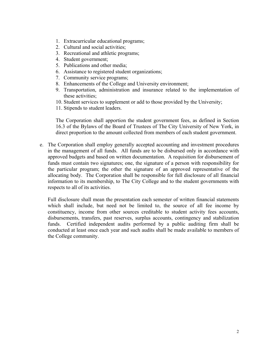- 1. Extracurricular educational programs;
- 2. Cultural and social activities;
- 3. Recreational and athletic programs;
- 4. Student government;
- 5. Publications and other media;
- 6. Assistance to registered student organizations;
- 7. Community service programs;
- 8. Enhancements of the College and University environment;
- 9. Transportation, administration and insurance related to the implementation of these activities;
- 10. Student services to supplement or add to those provided by the University;
- 11. Stipends to student leaders.

The Corporation shall apportion the student government fees, as defined in Section 16.3 of the Bylaws of the Board of Trustees of The City University of New York, in direct proportion to the amount collected from members of each student government.

e. The Corporation shall employ generally accepted accounting and investment procedures in the management of all funds. All funds are to be disbursed only in accordance with approved budgets and based on written documentation. A requisition for disbursement of funds must contain two signatures; one, the signature of a person with responsibility for the particular program; the other the signature of an approved representative of the allocating body. The Corporation shall be responsible for full disclosure of all financial information to its membership, to The City College and to the student governments with respects to all of its activities.

Full disclosure shall mean the presentation each semester of written financial statements which shall include, but need not be limited to, the source of all fee income by constituency, income from other sources creditable to student activity fees accounts, disbursements, transfers, past reserves, surplus accounts, contingency and stabilization funds. Certified independent audits performed by a public auditing firm shall be conducted at least once each year and such audits shall be made available to members of the College community.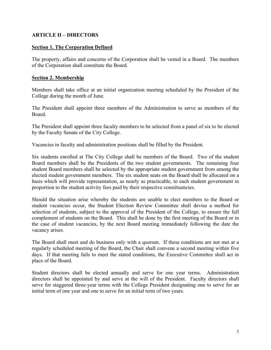# **ARTICLE II – DIRECTORS**

# **Section 1. The Corporation Defined**

The property, affairs and concerns of the Corporation shall be vested in a Board. The members of the Corporation shall constitute the Board.

# **Section 2. Membership**

Members shall take office at an initial organization meeting scheduled by the President of the College during the month of June.

The President shall appoint three members of the Administration to serve as members of the Board.

The President shall appoint three faculty members to be selected from a panel of six to be elected by the Faculty Senate of the City College.

Vacancies in faculty and administration positions shall be filled by the President.

Six students enrolled at The City College shall be members of the Board. Two of the student Board members shall be the Presidents of the two student governments. The remaining four student Board members shall be selected by the appropriate student government from among the elected student government members. The six student seats on the Board shall be allocated on a basis which will provide representation, as nearly as practicable, to each student government in proportion to the student activity fees paid by their respective constituencies.

Should the situation arise whereby the students are unable to elect members to the Board or student vacancies occur, the Student Election Review Committee shall devise a method for selection of students, subject to the approval of the President of the College, to ensure the full complement of students on the Board. This shall be done by the first meeting of the Board or in the case of student vacancies, by the next Board meeting immediately following the date the vacancy arises.

The Board shall meet and do business only with a quorum. If these conditions are not met at a regularly scheduled meeting of the Board, the Chair shall convene a second meeting within five days. If that meeting fails to meet the stated conditions, the Executive Committee shall act in place of the Board.

Student directors shall be elected annually and serve for one year terms. Administration directors shall be appointed by and serve at the will of the President. Faculty directors shall serve for staggered three-year terms with the College President designating one to serve for an initial term of one year and one to serve for an initial term of two years.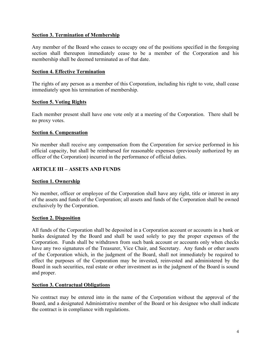# **Section 3. Termination of Membership**

Any member of the Board who ceases to occupy one of the positions specified in the foregoing section shall thereupon immediately cease to be a member of the Corporation and his membership shall be deemed terminated as of that date.

# **Section 4. Effective Termination**

The rights of any person as a member of this Corporation, including his right to vote, shall cease immediately upon his termination of membership.

# **Section 5. Voting Rights**

Each member present shall have one vote only at a meeting of the Corporation. There shall be no proxy votes.

# **Section 6. Compensation**

No member shall receive any compensation from the Corporation for service performed in his official capacity, but shall be reimbursed for reasonable expenses (previously authorized by an officer of the Corporation) incurred in the performance of official duties.

# **ARTICLE III – ASSETS AND FUNDS**

# **Section 1. Ownership**

No member, officer or employee of the Corporation shall have any right, title or interest in any of the assets and funds of the Corporation; all assets and funds of the Corporation shall be owned exclusively by the Corporation.

# **Section 2. Disposition**

All funds of the Corporation shall be deposited in a Corporation account or accounts in a bank or banks designated by the Board and shall be used solely to pay the proper expenses of the Corporation. Funds shall be withdrawn from such bank account or accounts only when checks have any two signatures of the Treasurer, Vice Chair, and Secretary. Any funds or other assets of the Corporation which, in the judgment of the Board, shall not immediately be required to effect the purposes of the Corporation may be invested, reinvested and administered by the Board in such securities, real estate or other investment as in the judgment of the Board is sound and proper.

# **Section 3. Contractual Obligations**

No contract may be entered into in the name of the Corporation without the approval of the Board, and a designated Administrative member of the Board or his designee who shall indicate the contract is in compliance with regulations.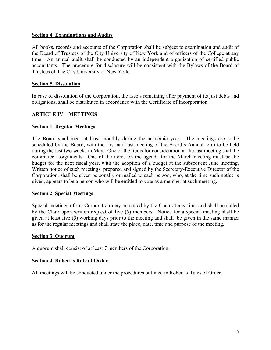#### **Section 4. Examinations and Audits**

All books, records and accounts of the Corporation shall be subject to examination and audit of the Board of Trustees of the City University of New York and of officers of the College at any time. An annual audit shall be conducted by an independent organization of certified public accountants. The procedure for disclosure will be consistent with the Bylaws of the Board of Trustees of The City University of New York.

#### **Section 5. Dissolution**

In case of dissolution of the Corporation, the assets remaining after payment of its just debts and obligations, shall be distributed in accordance with the Certificate of Incorporation.

# **ARTICLE IV – MEETINGS**

#### **Section 1. Regular Meetings**

The Board shall meet at least monthly during the academic year. The meetings are to be scheduled by the Board, with the first and last meeting of the Board's Annual term to be held during the last two weeks in May. One of the items for consideration at the last meeting shall be committee assignments. One of the items on the agenda for the March meeting must be the budget for the next fiscal year, with the adoption of a budget at the subsequent June meeting. Written notice of such meetings, prepared and signed by the Secretary-Executive Director of the Corporation, shall be given personally or mailed to each person, who, at the time such notice is given, appears to be a person who will be entitled to vote as a member at such meeting.

#### **Section 2. Special Meetings**

Special meetings of the Corporation may be called by the Chair at any time and shall be called by the Chair upon written request of five (5) members. Notice for a special meeting shall be given at least five (5) working days prior to the meeting and shall be given in the same manner as for the regular meetings and shall state the place, date, time and purpose of the meeting.

#### **Section 3. Quorum**

A quorum shall consist of at least 7 members of the Corporation.

#### **Section 4. Robert's Rule of Order**

All meetings will be conducted under the procedures outlined in Robert's Rules of Order.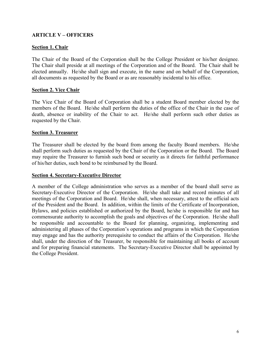# **ARTICLE V – OFFICERS**

# **Section 1. Chair**

The Chair of the Board of the Corporation shall be the College President or his/her designee. The Chair shall preside at all meetings of the Corporation and of the Board. The Chair shall be elected annually. He/she shall sign and execute, in the name and on behalf of the Corporation, all documents as requested by the Board or as are reasonably incidental to his office.

# **Section 2. Vice Chair**

The Vice Chair of the Board of Corporation shall be a student Board member elected by the members of the Board. He/she shall perform the duties of the office of the Chair in the case of death, absence or inability of the Chair to act. He/she shall perform such other duties as requested by the Chair.

# **Section 3. Treasurer**

The Treasurer shall be elected by the board from among the faculty Board members. He/she shall perform such duties as requested by the Chair of the Corporation or the Board. The Board may require the Treasurer to furnish such bond or security as it directs for faithful performance of his/her duties, such bond to be reimbursed by the Board.

## **Section 4. Secretary-Executive Director**

A member of the College administration who serves as a member of the board shall serve as Secretary-Executive Director of the Corporation. He/she shall take and record minutes of all meetings of the Corporation and Board. He/she shall, when necessary, attest to the official acts of the President and the Board. In addition, within the limits of the Certificate of Incorporation, Bylaws, and policies established or authorized by the Board, he/she is responsible for and has commensurate authority to accomplish the goals and objectives of the Corporation. He/she shall be responsible and accountable to the Board for planning, organizing, implementing and administering all phases of the Corporation's operations and programs in which the Corporation may engage and has the authority prerequisite to conduct the affairs of the Corporation. He/she shall, under the direction of the Treasurer, be responsible for maintaining all books of account and for preparing financial statements. The Secretary-Executive Director shall be appointed by the College President.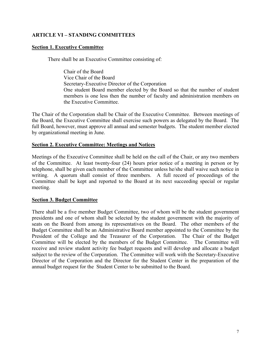# **ARTICLE VI – STANDING COMMITTEES**

#### **Section 1. Executive Committee**

There shall be an Executive Committee consisting of:

 Chair of the Board Vice Chair of the Board Secretary-Executive Director of the Corporation One student Board member elected by the Board so that the number of student members is one less then the number of faculty and administration members on the Executive Committee.

The Chair of the Corporation shall be Chair of the Executive Committee. Between meetings of the Board, the Executive Committee shall exercise such powers as delegated by the Board. The full Board, however, must approve all annual and semester budgets. The student member elected by organizational meeting in June.

#### **Section 2. Executive Committee: Meetings and Notices**

Meetings of the Executive Committee shall be held on the call of the Chair, or any two members of the Committee. At least twenty-four (24) hours prior notice of a meeting in person or by telephone, shall be given each member of the Committee unless he/she shall waive such notice in writing. A quorum shall consist of three members. A full record of proceedings of the Committee shall be kept and reported to the Board at its next succeeding special or regular meeting.

#### **Section 3. Budget Committee**

There shall be a five member Budget Committee, two of whom will be the student government presidents and one of whom shall be selected by the student government with the majority of seats on the Board from among its representatives on the Board. The other members of the Budget Committee shall be an Administrative Board member appointed to the Committee by the President of the College and the Treasurer of the Corporation. The Chair of the Budget Committee will be elected by the members of the Budget Committee. The Committee will receive and review student activity fee budget requests and will develop and allocate a budget subject to the review of the Corporation. The Committee will work with the Secretary-Executive Director of the Corporation and the Director for the Student Center in the preparation of the annual budget request for the Student Center to be submitted to the Board.